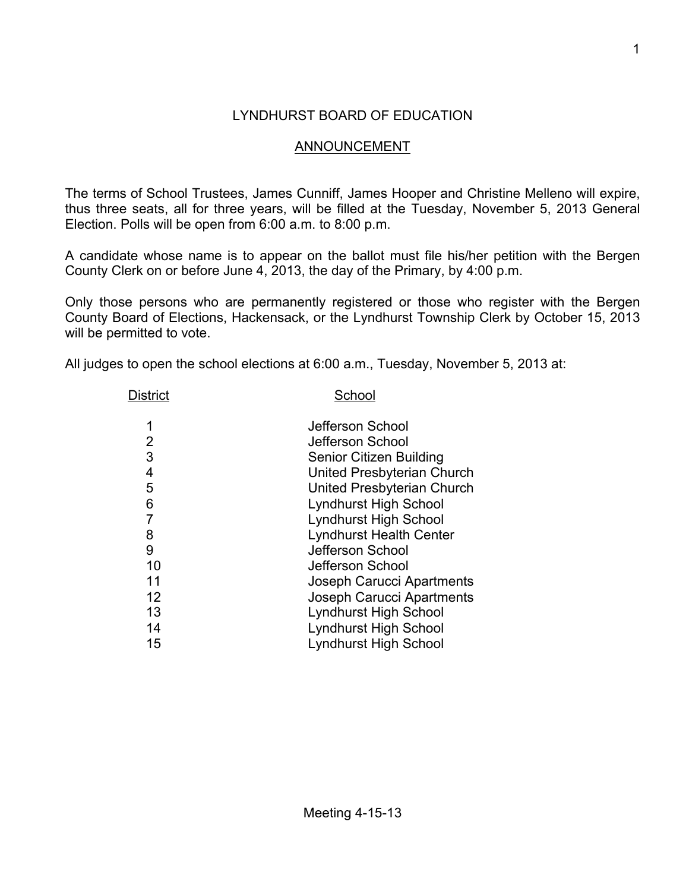## LYNDHURST BOARD OF EDUCATION

## ANNOUNCEMENT

The terms of School Trustees, James Cunniff, James Hooper and Christine Melleno will expire, thus three seats, all for three years, will be filled at the Tuesday, November 5, 2013 General Election. Polls will be open from 6:00 a.m. to 8:00 p.m.

A candidate whose name is to appear on the ballot must file his/her petition with the Bergen County Clerk on or before June 4, 2013, the day of the Primary, by 4:00 p.m.

Only those persons who are permanently registered or those who register with the Bergen County Board of Elections, Hackensack, or the Lyndhurst Township Clerk by October 15, 2013 will be permitted to vote.

All judges to open the school elections at 6:00 a.m., Tuesday, November 5, 2013 at:

| District | School                           |
|----------|----------------------------------|
| 1        | Jefferson School                 |
| 2        | Jefferson School                 |
| 3        | Senior Citizen Building          |
| 4        | United Presbyterian Church       |
| 5        | United Presbyterian Church       |
| 6        | <b>Lyndhurst High School</b>     |
| 7        | <b>Lyndhurst High School</b>     |
| 8        | <b>Lyndhurst Health Center</b>   |
| 9        | Jefferson School                 |
| 10       | Jefferson School                 |
| 11       | Joseph Carucci Apartments        |
| 12       | <b>Joseph Carucci Apartments</b> |
| 13       | <b>Lyndhurst High School</b>     |
| 14       | <b>Lyndhurst High School</b>     |
| 15       | <b>Lyndhurst High School</b>     |
|          |                                  |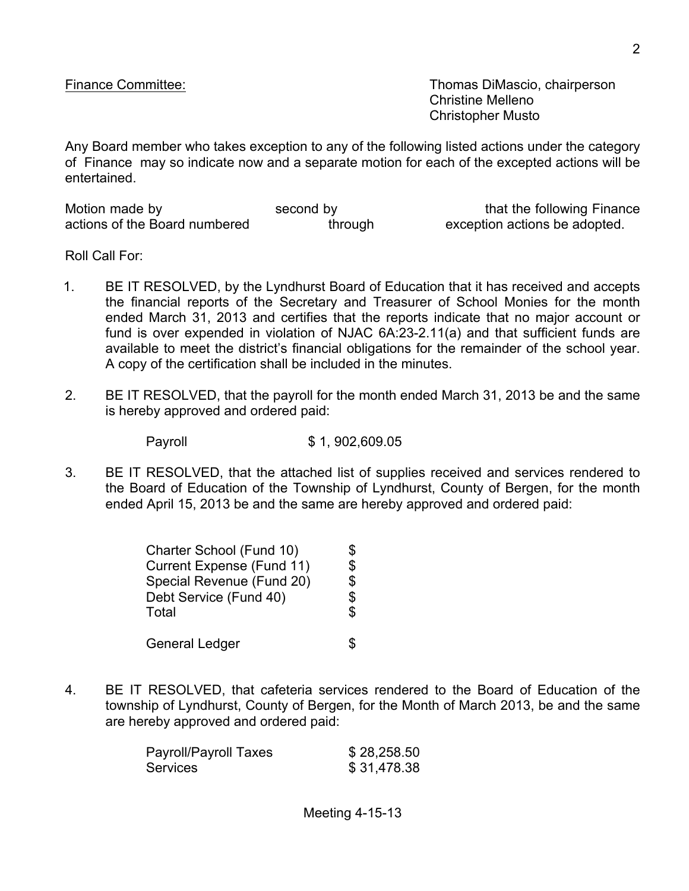Finance Committee: Thomas DiMascio, chairperson Christine Melleno Christopher Musto

Any Board member who takes exception to any of the following listed actions under the category of Finance may so indicate now and a separate motion for each of the excepted actions will be entertained.

| Motion made by                | second by | that the following Finance    |
|-------------------------------|-----------|-------------------------------|
| actions of the Board numbered | through   | exception actions be adopted. |

Roll Call For:

- 1. BE IT RESOLVED, by the Lyndhurst Board of Education that it has received and accepts the financial reports of the Secretary and Treasurer of School Monies for the month ended March 31, 2013 and certifies that the reports indicate that no major account or fund is over expended in violation of NJAC 6A:23-2.11(a) and that sufficient funds are available to meet the district's financial obligations for the remainder of the school year. A copy of the certification shall be included in the minutes.
- 2. BE IT RESOLVED, that the payroll for the month ended March 31, 2013 be and the same is hereby approved and ordered paid:

Payroll \$ 1, 902,609.05

3. BE IT RESOLVED, that the attached list of supplies received and services rendered to the Board of Education of the Township of Lyndhurst, County of Bergen, for the month ended April 15, 2013 be and the same are hereby approved and ordered paid:

| Charter School (Fund 10)         | \$ |
|----------------------------------|----|
| <b>Current Expense (Fund 11)</b> | \$ |
| Special Revenue (Fund 20)        | \$ |
| Debt Service (Fund 40)           | \$ |
| Total                            | \$ |
| <b>General Ledger</b>            |    |

4. BE IT RESOLVED, that cafeteria services rendered to the Board of Education of the township of Lyndhurst, County of Bergen, for the Month of March 2013, be and the same are hereby approved and ordered paid:

| Payroll/Payroll Taxes | \$28,258.50 |
|-----------------------|-------------|
| Services              | \$31,478.38 |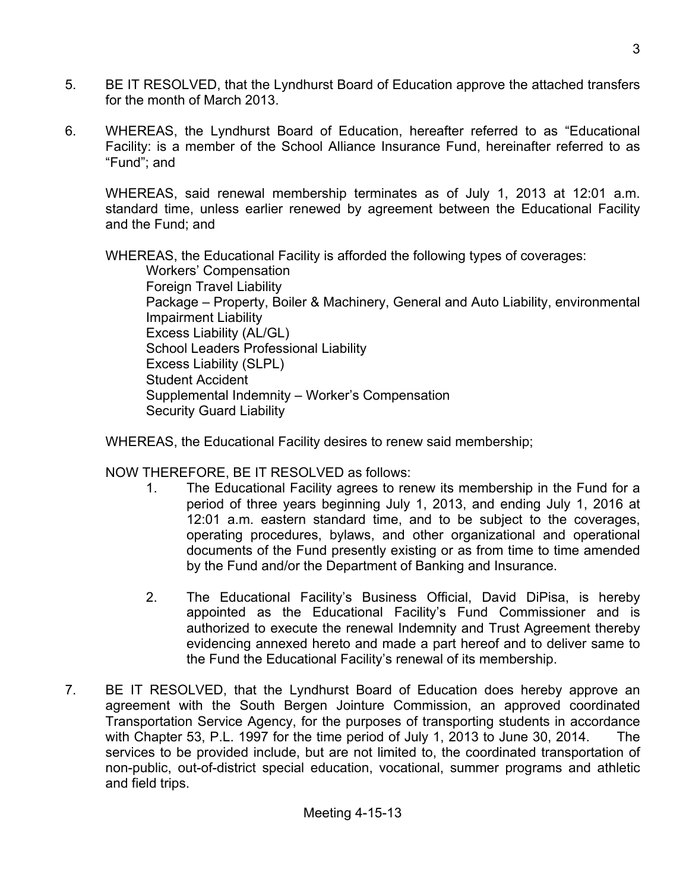- 5. BE IT RESOLVED, that the Lyndhurst Board of Education approve the attached transfers for the month of March 2013.
- 6. WHEREAS, the Lyndhurst Board of Education, hereafter referred to as "Educational Facility: is a member of the School Alliance Insurance Fund, hereinafter referred to as "Fund"; and

WHEREAS, said renewal membership terminates as of July 1, 2013 at 12:01 a.m. standard time, unless earlier renewed by agreement between the Educational Facility and the Fund; and

WHEREAS, the Educational Facility is afforded the following types of coverages:

Workers' Compensation Foreign Travel Liability Package – Property, Boiler & Machinery, General and Auto Liability, environmental Impairment Liability Excess Liability (AL/GL) School Leaders Professional Liability Excess Liability (SLPL) Student Accident Supplemental Indemnity – Worker's Compensation Security Guard Liability

WHEREAS, the Educational Facility desires to renew said membership;

NOW THEREFORE, BE IT RESOLVED as follows:

- 1. The Educational Facility agrees to renew its membership in the Fund for a period of three years beginning July 1, 2013, and ending July 1, 2016 at 12:01 a.m. eastern standard time, and to be subject to the coverages, operating procedures, bylaws, and other organizational and operational documents of the Fund presently existing or as from time to time amended by the Fund and/or the Department of Banking and Insurance.
- 2. The Educational Facility's Business Official, David DiPisa, is hereby appointed as the Educational Facility's Fund Commissioner and is authorized to execute the renewal Indemnity and Trust Agreement thereby evidencing annexed hereto and made a part hereof and to deliver same to the Fund the Educational Facility's renewal of its membership.
- 7. BE IT RESOLVED, that the Lyndhurst Board of Education does hereby approve an agreement with the South Bergen Jointure Commission, an approved coordinated Transportation Service Agency, for the purposes of transporting students in accordance with Chapter 53, P.L. 1997 for the time period of July 1, 2013 to June 30, 2014. The services to be provided include, but are not limited to, the coordinated transportation of non-public, out-of-district special education, vocational, summer programs and athletic and field trips.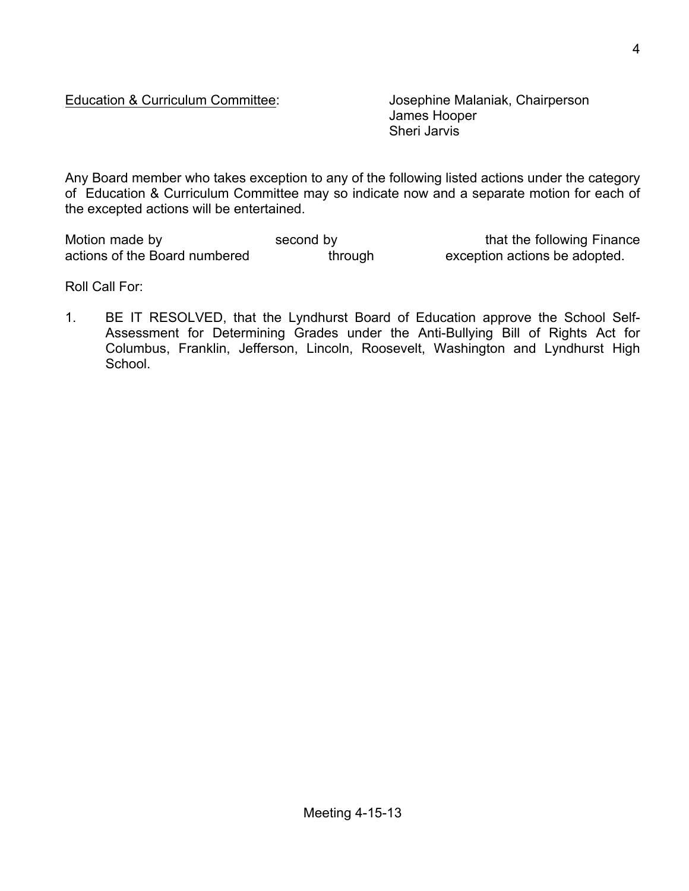## Education & Curriculum Committee: Josephine Malaniak, Chairperson

James Hooper Sheri Jarvis

Any Board member who takes exception to any of the following listed actions under the category of Education & Curriculum Committee may so indicate now and a separate motion for each of the excepted actions will be entertained.

Motion made by second by second by that the following Finance actions of the Board numbered through through exception actions be adopted.

Roll Call For:

1. BE IT RESOLVED, that the Lyndhurst Board of Education approve the School Self-Assessment for Determining Grades under the Anti-Bullying Bill of Rights Act for Columbus, Franklin, Jefferson, Lincoln, Roosevelt, Washington and Lyndhurst High School.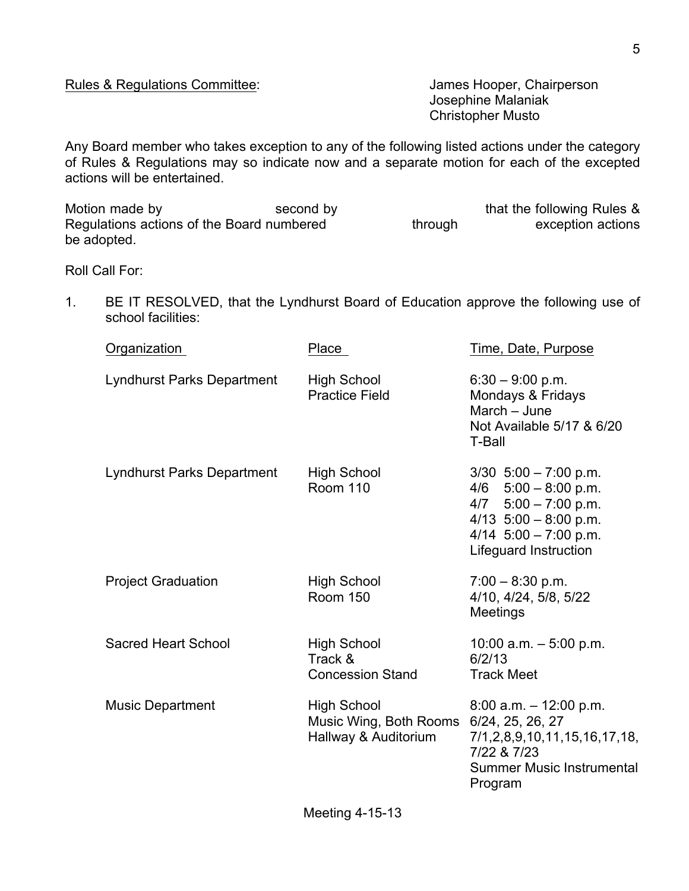Josephine Malaniak Christopher Musto

Any Board member who takes exception to any of the following listed actions under the category of Rules & Regulations may so indicate now and a separate motion for each of the excepted actions will be entertained.

| Motion made by                            | second by |         | that the following Rules & |
|-------------------------------------------|-----------|---------|----------------------------|
| Regulations actions of the Board numbered |           | through | exception actions          |
| be adopted.                               |           |         |                            |

Roll Call For:

1. BE IT RESOLVED, that the Lyndhurst Board of Education approve the following use of school facilities:

| Place                                                    | Time, Date, Purpose                                                                                                                                               |
|----------------------------------------------------------|-------------------------------------------------------------------------------------------------------------------------------------------------------------------|
| <b>High School</b><br><b>Practice Field</b>              | $6:30 - 9:00$ p.m.<br>Mondays & Fridays<br>March - June<br>Not Available 5/17 & 6/20<br><b>T-Ball</b>                                                             |
| <b>High School</b><br><b>Room 110</b>                    | $3/30$ 5:00 - 7:00 p.m.<br>$4/6$ 5:00 - 8:00 p.m.<br>$4/7$ 5:00 - 7:00 p.m.<br>4/13 $5:00 - 8:00$ p.m.<br>4/14 $5:00 - 7:00$ p.m.<br><b>Lifeguard Instruction</b> |
| <b>High School</b><br><b>Room 150</b>                    | $7:00 - 8:30$ p.m.<br>4/10, 4/24, 5/8, 5/22<br>Meetings                                                                                                           |
| <b>High School</b><br>Track &<br><b>Concession Stand</b> | 10:00 a.m. $-5:00$ p.m.<br>6/2/13<br><b>Track Meet</b>                                                                                                            |
| <b>High School</b><br>Hallway & Auditorium               | $8:00$ a.m. $-12:00$ p.m.<br>6/24, 25, 26, 27<br>7/1,2,8,9,10,11,15,16,17,18,<br>7/22 & 7/23<br>Summer Music Instrumental<br>Program                              |
|                                                          | Music Wing, Both Rooms                                                                                                                                            |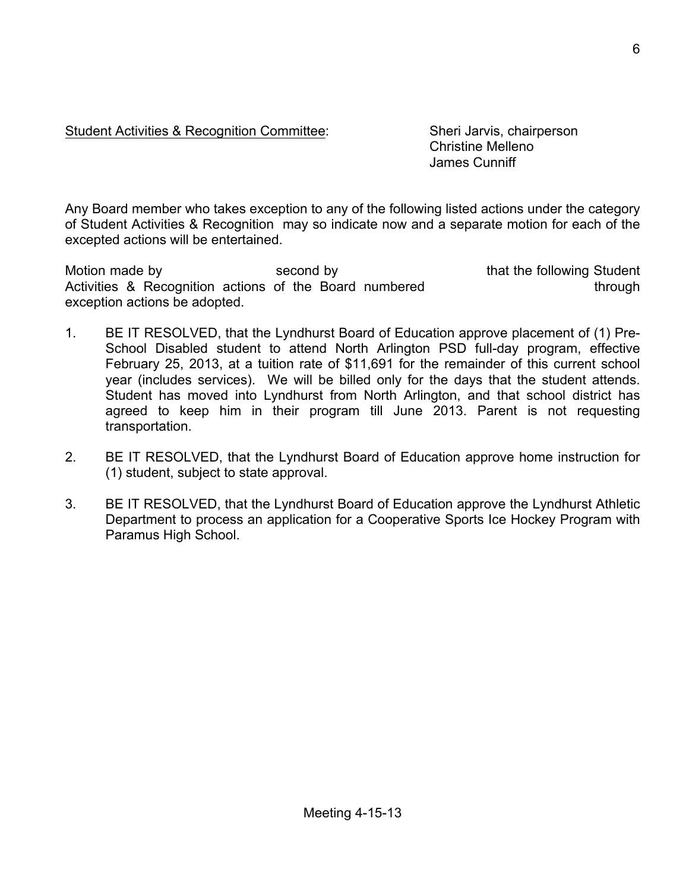Student Activities & Recognition Committee: Sheri Jarvis, chairperson

Christine Melleno James Cunniff

Any Board member who takes exception to any of the following listed actions under the category of Student Activities & Recognition may so indicate now and a separate motion for each of the excepted actions will be entertained.

Motion made by second by second by that the following Student Activities & Recognition actions of the Board numbered through exception actions be adopted.

- 1. BE IT RESOLVED, that the Lyndhurst Board of Education approve placement of (1) Pre-School Disabled student to attend North Arlington PSD full-day program, effective February 25, 2013, at a tuition rate of \$11,691 for the remainder of this current school year (includes services). We will be billed only for the days that the student attends. Student has moved into Lyndhurst from North Arlington, and that school district has agreed to keep him in their program till June 2013. Parent is not requesting transportation.
- 2. BE IT RESOLVED, that the Lyndhurst Board of Education approve home instruction for (1) student, subject to state approval.
- 3. BE IT RESOLVED, that the Lyndhurst Board of Education approve the Lyndhurst Athletic Department to process an application for a Cooperative Sports Ice Hockey Program with Paramus High School.